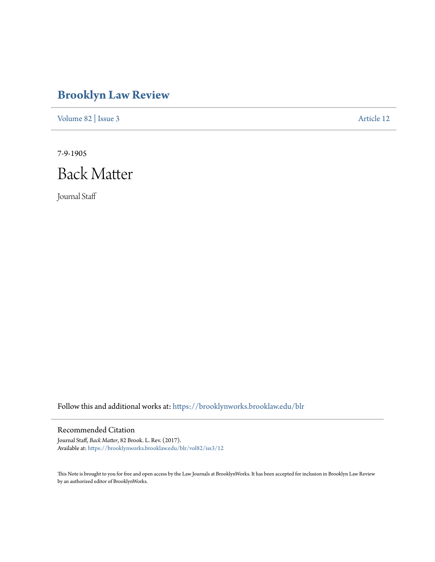# **[Brooklyn Law Review](https://brooklynworks.brooklaw.edu/blr?utm_source=brooklynworks.brooklaw.edu%2Fblr%2Fvol82%2Fiss3%2F12&utm_medium=PDF&utm_campaign=PDFCoverPages)**

[Volume 82](https://brooklynworks.brooklaw.edu/blr/vol82?utm_source=brooklynworks.brooklaw.edu%2Fblr%2Fvol82%2Fiss3%2F12&utm_medium=PDF&utm_campaign=PDFCoverPages) | [Issue 3](https://brooklynworks.brooklaw.edu/blr/vol82/iss3?utm_source=brooklynworks.brooklaw.edu%2Fblr%2Fvol82%2Fiss3%2F12&utm_medium=PDF&utm_campaign=PDFCoverPages) [Article 12](https://brooklynworks.brooklaw.edu/blr/vol82/iss3/12?utm_source=brooklynworks.brooklaw.edu%2Fblr%2Fvol82%2Fiss3%2F12&utm_medium=PDF&utm_campaign=PDFCoverPages)

7-9-1905



Journal Staff

Follow this and additional works at: [https://brooklynworks.brooklaw.edu/blr](https://brooklynworks.brooklaw.edu/blr?utm_source=brooklynworks.brooklaw.edu%2Fblr%2Fvol82%2Fiss3%2F12&utm_medium=PDF&utm_campaign=PDFCoverPages)

# Recommended Citation

Journal Staff, *Back Matter*, 82 Brook. L. Rev. (2017). Available at: [https://brooklynworks.brooklaw.edu/blr/vol82/iss3/12](https://brooklynworks.brooklaw.edu/blr/vol82/iss3/12?utm_source=brooklynworks.brooklaw.edu%2Fblr%2Fvol82%2Fiss3%2F12&utm_medium=PDF&utm_campaign=PDFCoverPages)

This Note is brought to you for free and open access by the Law Journals at BrooklynWorks. It has been accepted for inclusion in Brooklyn Law Review by an authorized editor of BrooklynWorks.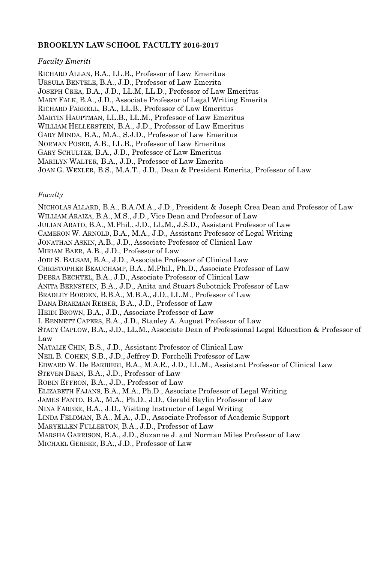## **BROOKLYN LAW SCHOOL FACULTY 2016-2017**

#### *Faculty Emeriti*

RICHARD ALLAN, B.A., LL.B., Professor of Law Emeritus URSULA BENTELE, B.A., J.D., Professor of Law Emerita JOSEPH CREA, B.A., J.D., LL.M, LL.D., Professor of Law Emeritus MARY FALK, B.A., J.D., Associate Professor of Legal Writing Emerita RICHARD FARRELL, B.A., LL.B., Professor of Law Emeritus MARTIN HAUPTMAN, LL.B., LL.M., Professor of Law Emeritus WILLIAM HELLERSTEIN, B.A., J.D., Professor of Law Emeritus GARY MINDA, B.A., M.A., S.J.D., Professor of Law Emeritus NORMAN POSER, A.B., LL.B., Professor of Law Emeritus GARY SCHULTZE, B.A., J.D., Professor of Law Emeritus MARILYN WALTER, B.A., J.D., Professor of Law Emerita JOAN G. WEXLER, B.S., M.A.T., J.D., Dean & President Emerita, Professor of Law

### *Faculty*

NICHOLAS ALLARD, B.A., B.A./M.A., J.D., President & Joseph Crea Dean and Professor of Law WILLIAM ARAIZA, B.A., M.S., J.D., Vice Dean and Professor of Law JULIAN ARATO, B.A., M.Phil., J.D., LL.M., J.S.D., Assistant Professor of Law CAMERON W. ARNOLD, B.A., M.A., J.D., Assistant Professor of Legal Writing JONATHAN ASKIN, A.B., J.D., Associate Professor of Clinical Law MIRIAM BAER, A.B., J.D., Professor of Law JODI S. BALSAM, B.A., J.D., Associate Professor of Clinical Law CHRISTOPHER BEAUCHAMP, B.A., M.Phil., Ph.D., Associate Professor of Law DEBRA BECHTEL, B.A., J.D., Associate Professor of Clinical Law ANITA BERNSTEIN, B.A., J.D., Anita and Stuart Subotnick Professor of Law BRADLEY BORDEN, B.B.A., M.B.A., J.D., LL.M., Professor of Law DANA BRAKMAN REISER, B.A., J.D., Professor of Law HEIDI BROWN, B.A., J.D., Associate Professor of Law I. BENNETT CAPERS, B.A., J.D., Stanley A. August Professor of Law STACY CAPLOW, B.A., J.D., LL.M., Associate Dean of Professional Legal Education & Professor of Law NATALIE CHIN, B.S., J.D., Assistant Professor of Clinical Law NEIL B. COHEN, S.B., J.D., Jeffrey D. Forchelli Professor of Law EDWARD W. De BARBIERI, B.A., M.A.R., J.D., LL.M., Assistant Professor of Clinical Law STEVEN DEAN, B.A., J.D., Professor of Law ROBIN EFFRON, B.A., J.D., Professor of Law ELIZABETH FAJANS, B.A., M.A., Ph.D., Associate Professor of Legal Writing JAMES FANTO, B.A., M.A., Ph.D., J.D., Gerald Baylin Professor of Law NINA FARBER, B.A., J.D., Visiting Instructor of Legal Writing LINDA FELDMAN, B.A., M.A., J.D., Associate Professor of Academic Support MARYELLEN FULLERTON, B.A., J.D., Professor of Law MARSHA GARRISON, B.A., J.D., Suzanne J. and Norman Miles Professor of Law MICHAEL GERBER, B.A., J.D., Professor of Law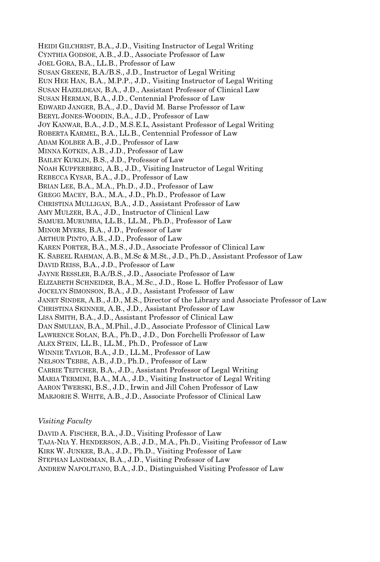HEIDI GILCHRIST, B.A., J.D., Visiting Instructor of Legal Writing CYNTHIA GODSOE, A.B., J.D., Associate Professor of Law JOEL GORA, B.A., LL.B., Professor of Law SUSAN GREENE, B.A./B.S., J.D., Instructor of Legal Writing EUN HEE HAN, B.A., M.P.P., J.D., Visiting Instructor of Legal Writing SUSAN HAZELDEAN, B.A., J.D., Assistant Professor of Clinical Law SUSAN HERMAN, B.A., J.D., Centennial Professor of Law EDWARD JANGER, B.A., J.D., David M. Barse Professor of Law BERYL JONES-WOODIN, B.A., J.D., Professor of Law JOY KANWAR, B.A., J.D., M.S.E.L, Assistant Professor of Legal Writing ROBERTA KARMEL, B.A., LL.B., Centennial Professor of Law ADAM KOLBER A.B., J.D., Professor of Law MINNA KOTKIN, A.B., J.D., Professor of Law BAILEY KUKLIN, B.S., J.D., Professor of Law NOAH KUPFERBERG, A.B., J.D., Visiting Instructor of Legal Writing REBECCA KYSAR, B.A., J.D., Professor of Law BRIAN LEE, B.A., M.A., Ph.D., J.D., Professor of Law GREGG MACEY, B.A., M.A., J.D., Ph.D., Professor of Law CHRISTINA MULLIGAN, B.A., J.D., Assistant Professor of Law AMY MULZER, B.A., J.D., Instructor of Clinical Law SAMUEL MURUMBA, LL.B., LL.M., Ph.D., Professor of Law MINOR MYERS, B.A., J.D., Professor of Law ARTHUR PINTO, A.B., J.D., Professor of Law KAREN PORTER, B.A., M.S., J.D., Associate Professor of Clinical Law K. SABEEL RAHMAN, A.B., M.Sc & M.St., J.D., Ph.D., Assistant Professor of Law DAVID REISS, B.A., J.D., Professor of Law JAYNE RESSLER, B.A./B.S., J.D., Associate Professor of Law ELIZABETH SCHNEIDER, B.A., M.Sc., J.D., Rose L. Hoffer Professor of Law JOCELYN SIMONSON, B.A., J.D., Assistant Professor of Law JANET SINDER, A.B., J.D., M.S., Director of the Library and Associate Professor of Law CHRISTINA SKINNER, A.B., J.D., Assistant Professor of Law LISA SMITH, B.A., J.D., Assistant Professor of Clinical Law DAN SMULIAN, B.A., M.Phil., J.D., Associate Professor of Clinical Law LAWRENCE SOLAN, B.A., Ph.D., J.D., Don Forchelli Professor of Law ALEX STEIN, LL.B., LL.M., Ph.D., Professor of Law WINNIE TAYLOR, B.A., J.D., LL.M., Professor of Law NELSON TEBBE, A.B., J.D., Ph.D., Professor of Law CARRIE TEITCHER, B.A., J.D., Assistant Professor of Legal Writing MARIA TERMINI, B.A., M.A., J.D., Visiting Instructor of Legal Writing AARON TWERSKI, B.S., J.D., Irwin and Jill Cohen Professor of Law MARJORIE S. WHITE, A.B., J.D., Associate Professor of Clinical Law

### *Visiting Faculty*

DAVID A. FISCHER, B.A., J.D., Visiting Professor of Law

TAJA-NIA Y. HENDERSON, A.B., J.D., M.A., Ph.D., Visiting Professor of Law

KIRK W. JUNKER, B.A., J.D., Ph.D., Visiting Professor of Law

STEPHAN LANDSMAN, B.A., J.D., Visiting Professor of Law

ANDREW NAPOLITANO, B.A., J.D., Distinguished Visiting Professor of Law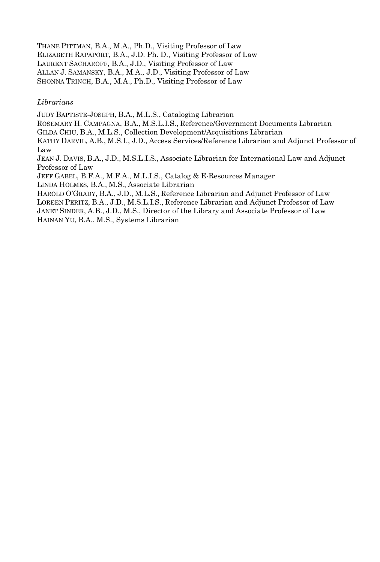THANE PITTMAN, B.A., M.A., Ph.D., Visiting Professor of Law ELIZABETH RAPAPORT, B.A., J.D. Ph. D., Visiting Professor of Law LAURENT SACHAROFF, B.A., J.D., Visiting Professor of Law ALLAN J. SAMANSKY, B.A., M.A., J.D., Visiting Professor of Law SHONNA TRINCH, B.A., M.A., Ph.D., Visiting Professor of Law

#### *Librarians*

JUDY BAPTISTE-JOSEPH, B.A., M.L.S., Cataloging Librarian

ROSEMARY H. CAMPAGNA, B.A., M.S.L.I.S., Reference/Government Documents Librarian

GILDA CHIU, B.A., M.L.S., Collection Development/Acquisitions Librarian

KATHY DARVIL, A.B., M.S.I., J.D., Access Services/Reference Librarian and Adjunct Professor of Law

JEAN J. DAVIS, B.A., J.D., M.S.L.I.S., Associate Librarian for International Law and Adjunct Professor of Law

JEFF GABEL, B.F.A., M.F.A., M.L.I.S., Catalog & E-Resources Manager

LINDA HOLMES, B.A., M.S., Associate Librarian

HAROLD O'GRADY, B.A., J.D., M.L.S., Reference Librarian and Adjunct Professor of Law LOREEN PERITZ, B.A., J.D., M.S.L.I.S., Reference Librarian and Adjunct Professor of Law JANET SINDER, A.B., J.D., M.S., Director of the Library and Associate Professor of Law HAINAN YU, B.A., M.S., Systems Librarian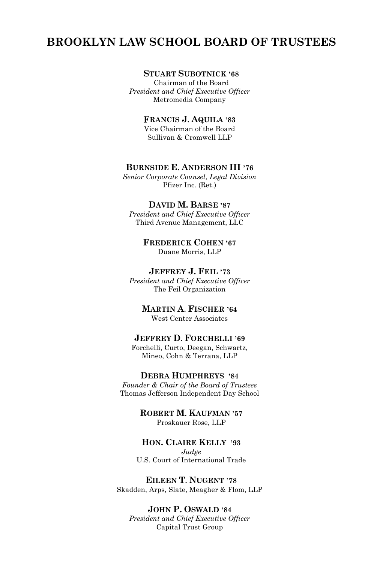# **BROOKLYN LAW SCHOOL BOARD OF TRUSTEES**

# **STUART SUBOTNICK '68**

Chairman of the Board *President and Chief Executive Officer* Metromedia Company

**FRANCIS J. AQUILA '83**

Vice Chairman of the Board Sullivan & Cromwell LLP

#### **BURNSIDE E. ANDERSON III '76**

*Senior Corporate Counsel, Legal Division* Pfizer Inc. (Ret.)

#### **DAVID M. BARSE '87**

*President and Chief Executive Officer* Third Avenue Management, LLC

> **FREDERICK COHEN '67** Duane Morris, LLP

### **JEFFREY J. FEIL '73**

*President and Chief Executive Officer* The Feil Organization

> **MARTIN A. FISCHER '64** West Center Associates

# **JEFFREY D. FORCHELLI '69**

Forchelli, Curto, Deegan, Schwartz, Mineo, Cohn & Terrana, LLP

#### **DEBRA HUMPHREYS '84**

*Founder & Chair of the Board of Trustees* Thomas Jefferson Independent Day School

> **ROBERT M. KAUFMAN '57** Proskauer Rose, LLP

### **HON. CLAIRE KELLY '93**

*Judge* U.S. Court of International Trade

**EILEEN T. NUGENT '78** Skadden, Arps, Slate, Meagher & Flom, LLP

**JOHN P. OSWALD '84** *President and Chief Executive Officer* Capital Trust Group